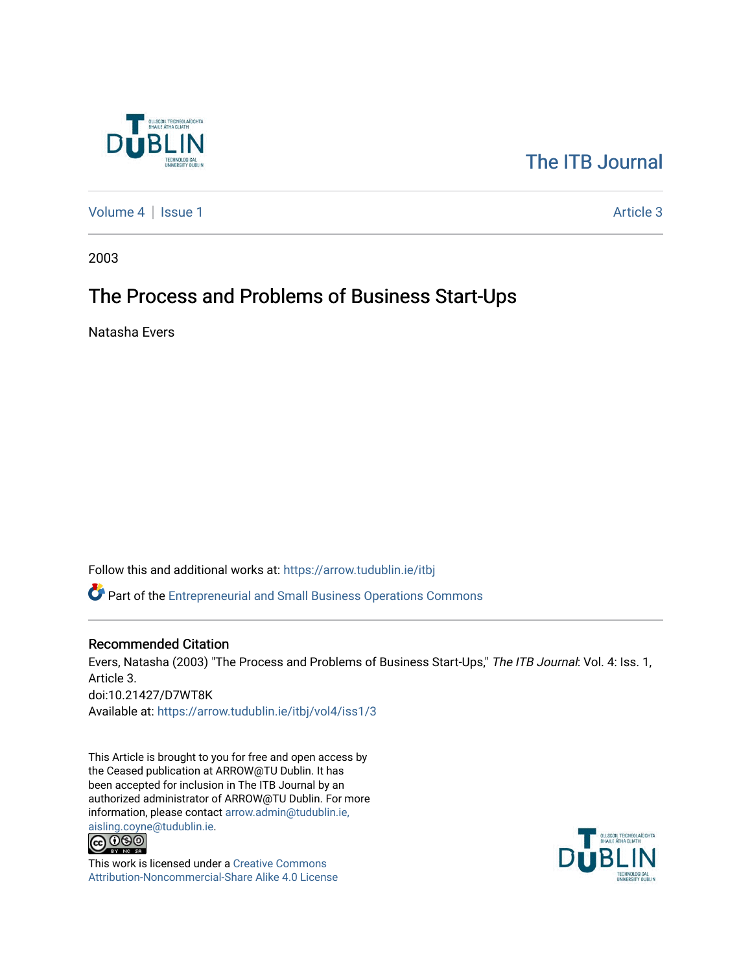

# [The ITB Journal](https://arrow.tudublin.ie/itbj)

[Volume 4](https://arrow.tudublin.ie/itbj/vol4) | [Issue 1](https://arrow.tudublin.ie/itbj/vol4/iss1) Article 3

2003

# The Process and Problems of Business Start-Ups

Natasha Evers

Follow this and additional works at: [https://arrow.tudublin.ie/itbj](https://arrow.tudublin.ie/itbj?utm_source=arrow.tudublin.ie%2Fitbj%2Fvol4%2Fiss1%2F3&utm_medium=PDF&utm_campaign=PDFCoverPages)  Part of the [Entrepreneurial and Small Business Operations Commons](http://network.bepress.com/hgg/discipline/630?utm_source=arrow.tudublin.ie%2Fitbj%2Fvol4%2Fiss1%2F3&utm_medium=PDF&utm_campaign=PDFCoverPages) 

### Recommended Citation

Evers, Natasha (2003) "The Process and Problems of Business Start-Ups," The ITB Journal: Vol. 4: Iss. 1, Article 3. doi:10.21427/D7WT8K Available at: [https://arrow.tudublin.ie/itbj/vol4/iss1/3](https://arrow.tudublin.ie/itbj/vol4/iss1/3?utm_source=arrow.tudublin.ie%2Fitbj%2Fvol4%2Fiss1%2F3&utm_medium=PDF&utm_campaign=PDFCoverPages) 

This Article is brought to you for free and open access by the Ceased publication at ARROW@TU Dublin. It has been accepted for inclusion in The ITB Journal by an authorized administrator of ARROW@TU Dublin. For more information, please contact [arrow.admin@tudublin.ie,](mailto:arrow.admin@tudublin.ie,%20aisling.coyne@tudublin.ie) 



This work is licensed under a [Creative Commons](http://creativecommons.org/licenses/by-nc-sa/4.0/) [Attribution-Noncommercial-Share Alike 4.0 License](http://creativecommons.org/licenses/by-nc-sa/4.0/)

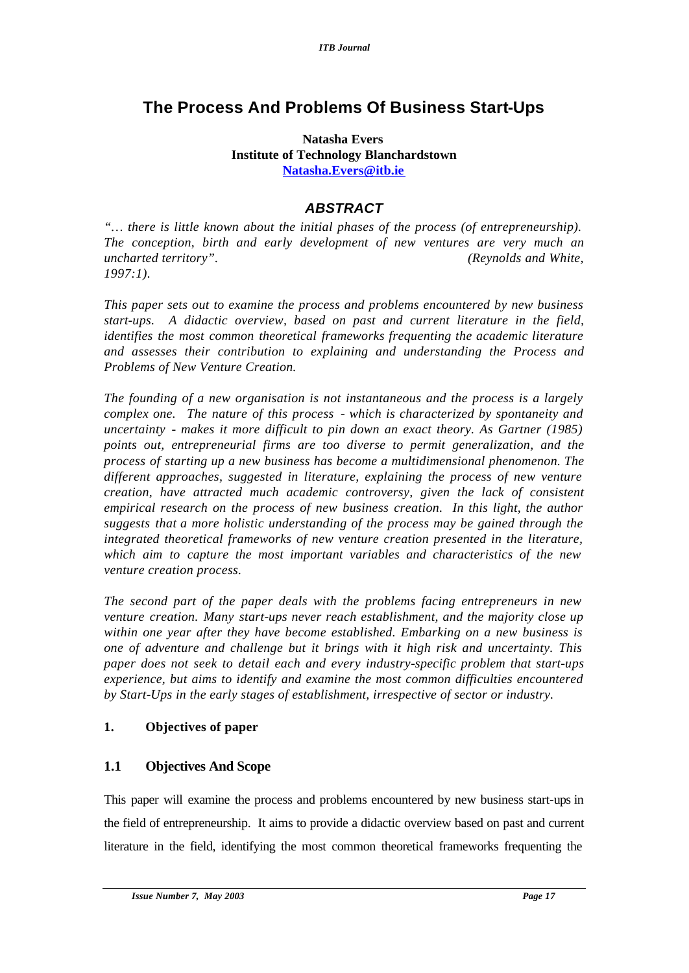# **The Process And Problems Of Business Start-Ups**

## **Natasha Evers Institute of Technology Blanchardstown Natasha.Evers@itb.ie**

# *ABSTRACT*

*"… there is little known about the initial phases of the process (of entrepreneurship). The conception, birth and early development of new ventures are very much an uncharted territory". (Reynolds and White, 1997:1).*

*This paper sets out to examine the process and problems encountered by new business start-ups. A didactic overview, based on past and current literature in the field, identifies the most common theoretical frameworks frequenting the academic literature and assesses their contribution to explaining and understanding the Process and Problems of New Venture Creation.* 

*The founding of a new organisation is not instantaneous and the process is a largely complex one. The nature of this process - which is characterized by spontaneity and uncertainty - makes it more difficult to pin down an exact theory. As Gartner (1985) points out, entrepreneurial firms are too diverse to permit generalization, and the process of starting up a new business has become a multidimensional phenomenon. The different approaches, suggested in literature, explaining the process of new venture creation, have attracted much academic controversy, given the lack of consistent empirical research on the process of new business creation. In this light, the author suggests that a more holistic understanding of the process may be gained through the integrated theoretical frameworks of new venture creation presented in the literature, which aim to capture the most important variables and characteristics of the new venture creation process.* 

*The second part of the paper deals with the problems facing entrepreneurs in new venture creation. Many start-ups never reach establishment, and the majority close up within one year after they have become established. Embarking on a new business is one of adventure and challenge but it brings with it high risk and uncertainty. This paper does not seek to detail each and every industry-specific problem that start-ups experience, but aims to identify and examine the most common difficulties encountered by Start-Ups in the early stages of establishment, irrespective of sector or industry.* 

# **1. Objectives of paper**

# **1.1 Objectives And Scope**

This paper will examine the process and problems encountered by new business start-ups in the field of entrepreneurship. It aims to provide a didactic overview based on past and current literature in the field, identifying the most common theoretical frameworks frequenting the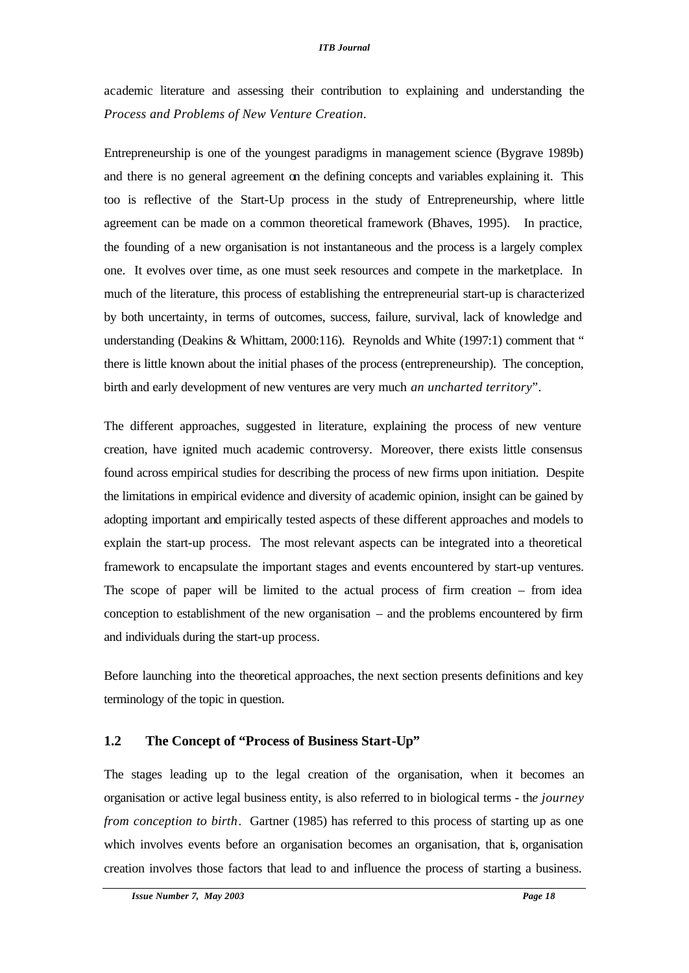academic literature and assessing their contribution to explaining and understanding the *Process and Problems of New Venture Creation*.

Entrepreneurship is one of the youngest paradigms in management science (Bygrave 1989b) and there is no general agreement on the defining concepts and variables explaining it. This too is reflective of the Start-Up process in the study of Entrepreneurship, where little agreement can be made on a common theoretical framework (Bhaves, 1995). In practice, the founding of a new organisation is not instantaneous and the process is a largely complex one. It evolves over time, as one must seek resources and compete in the marketplace. In much of the literature, this process of establishing the entrepreneurial start-up is characterized by both uncertainty, in terms of outcomes, success, failure, survival, lack of knowledge and understanding (Deakins & Whittam, 2000:116). Reynolds and White (1997:1) comment that " there is little known about the initial phases of the process (entrepreneurship). The conception, birth and early development of new ventures are very much *an uncharted territory*".

The different approaches, suggested in literature, explaining the process of new venture creation, have ignited much academic controversy. Moreover, there exists little consensus found across empirical studies for describing the process of new firms upon initiation. Despite the limitations in empirical evidence and diversity of academic opinion, insight can be gained by adopting important and empirically tested aspects of these different approaches and models to explain the start-up process. The most relevant aspects can be integrated into a theoretical framework to encapsulate the important stages and events encountered by start-up ventures. The scope of paper will be limited to the actual process of firm creation – from idea conception to establishment of the new organisation – and the problems encountered by firm and individuals during the start-up process.

Before launching into the theoretical approaches, the next section presents definitions and key terminology of the topic in question.

# **1.2 The Concept of "Process of Business Start-Up"**

The stages leading up to the legal creation of the organisation, when it becomes an organisation or active legal business entity, is also referred to in biological terms - th*e journey from conception to birth.* Gartner (1985) has referred to this process of starting up as one which involves events before an organisation becomes an organisation, that is, organisation creation involves those factors that lead to and influence the process of starting a business.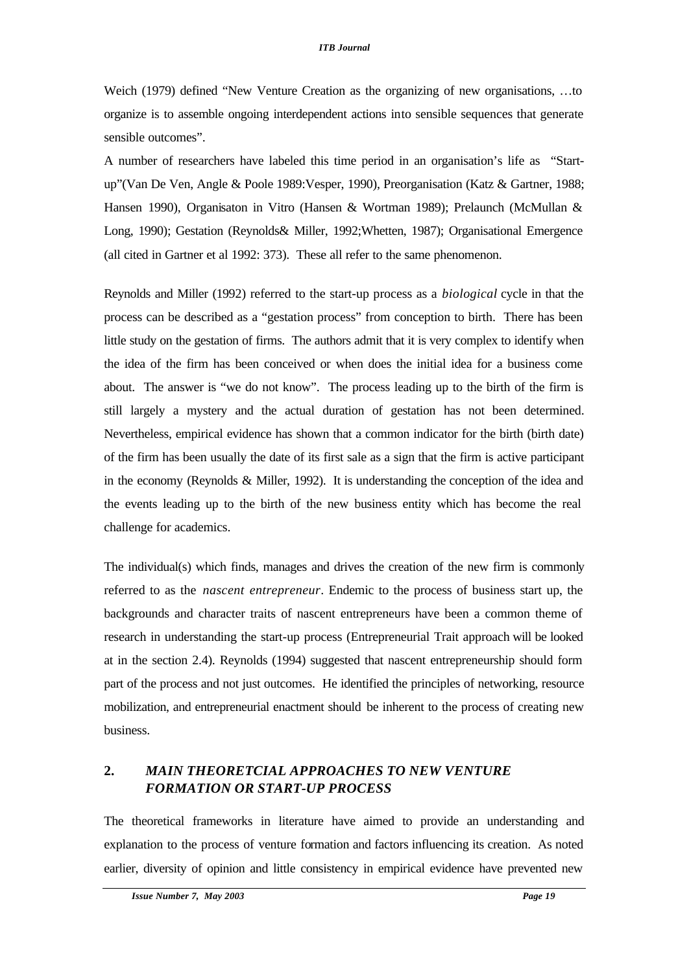Weich (1979) defined "New Venture Creation as the organizing of new organisations, …to organize is to assemble ongoing interdependent actions into sensible sequences that generate sensible outcomes".

A number of researchers have labeled this time period in an organisation's life as "Startup"(Van De Ven, Angle & Poole 1989:Vesper, 1990), Preorganisation (Katz & Gartner, 1988; Hansen 1990), Organisaton in Vitro (Hansen & Wortman 1989); Prelaunch (McMullan & Long, 1990); Gestation (Reynolds& Miller, 1992;Whetten, 1987); Organisational Emergence (all cited in Gartner et al 1992: 373). These all refer to the same phenomenon.

Reynolds and Miller (1992) referred to the start-up process as a *biological* cycle in that the process can be described as a "gestation process" from conception to birth. There has been little study on the gestation of firms. The authors admit that it is very complex to identify when the idea of the firm has been conceived or when does the initial idea for a business come about. The answer is "we do not know". The process leading up to the birth of the firm is still largely a mystery and the actual duration of gestation has not been determined. Nevertheless, empirical evidence has shown that a common indicator for the birth (birth date) of the firm has been usually the date of its first sale as a sign that the firm is active participant in the economy (Reynolds & Miller, 1992). It is understanding the conception of the idea and the events leading up to the birth of the new business entity which has become the real challenge for academics.

The individual(s) which finds, manages and drives the creation of the new firm is commonly referred to as the *nascent entrepreneur*. Endemic to the process of business start up, the backgrounds and character traits of nascent entrepreneurs have been a common theme of research in understanding the start-up process (Entrepreneurial Trait approach will be looked at in the section 2.4). Reynolds (1994) suggested that nascent entrepreneurship should form part of the process and not just outcomes. He identified the principles of networking, resource mobilization, and entrepreneurial enactment should be inherent to the process of creating new business.

# **2.** *MAIN THEORETCIAL APPROACHES TO NEW VENTURE FORMATION OR START-UP PROCESS*

The theoretical frameworks in literature have aimed to provide an understanding and explanation to the process of venture formation and factors influencing its creation. As noted earlier, diversity of opinion and little consistency in empirical evidence have prevented new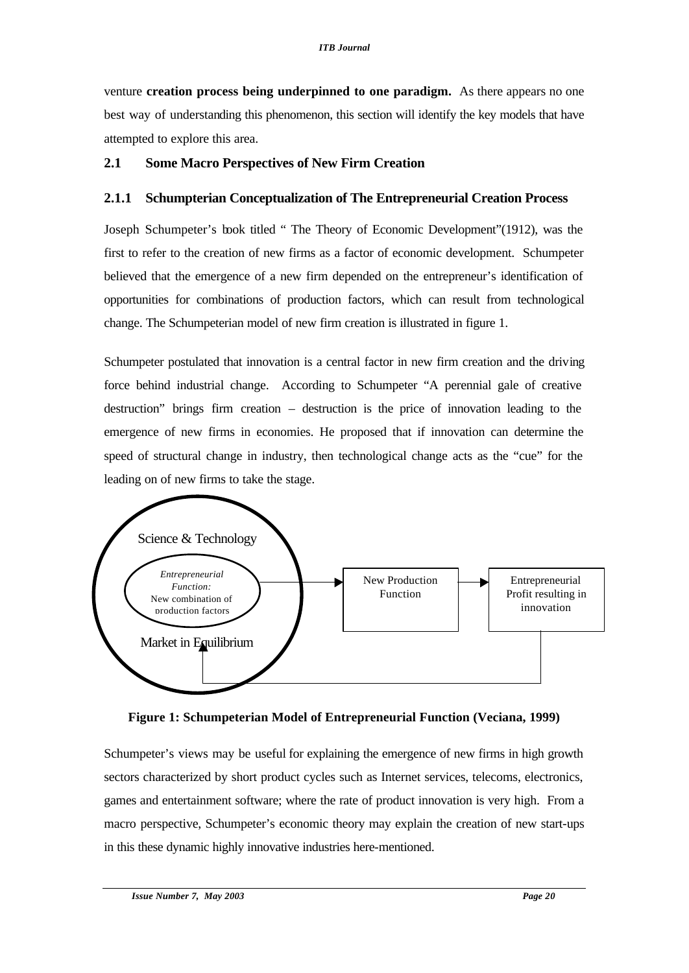venture **creation process being underpinned to one paradigm.** As there appears no one best way of understanding this phenomenon, this section will identify the key models that have attempted to explore this area.

## **2.1 Some Macro Perspectives of New Firm Creation**

## **2.1.1 Schumpterian Conceptualization of The Entrepreneurial Creation Process**

Joseph Schumpeter's book titled " The Theory of Economic Development"(1912), was the first to refer to the creation of new firms as a factor of economic development. Schumpeter believed that the emergence of a new firm depended on the entrepreneur's identification of opportunities for combinations of production factors, which can result from technological change. The Schumpeterian model of new firm creation is illustrated in figure 1.

Schumpeter postulated that innovation is a central factor in new firm creation and the driving force behind industrial change. According to Schumpeter "A perennial gale of creative destruction" brings firm creation – destruction is the price of innovation leading to the emergence of new firms in economies. He proposed that if innovation can determine the speed of structural change in industry, then technological change acts as the "cue" for the leading on of new firms to take the stage.



**Figure 1: Schumpeterian Model of Entrepreneurial Function (Veciana, 1999)**

Schumpeter's views may be useful for explaining the emergence of new firms in high growth sectors characterized by short product cycles such as Internet services, telecoms, electronics, games and entertainment software; where the rate of product innovation is very high. From a macro perspective, Schumpeter's economic theory may explain the creation of new start-ups in this these dynamic highly innovative industries here-mentioned.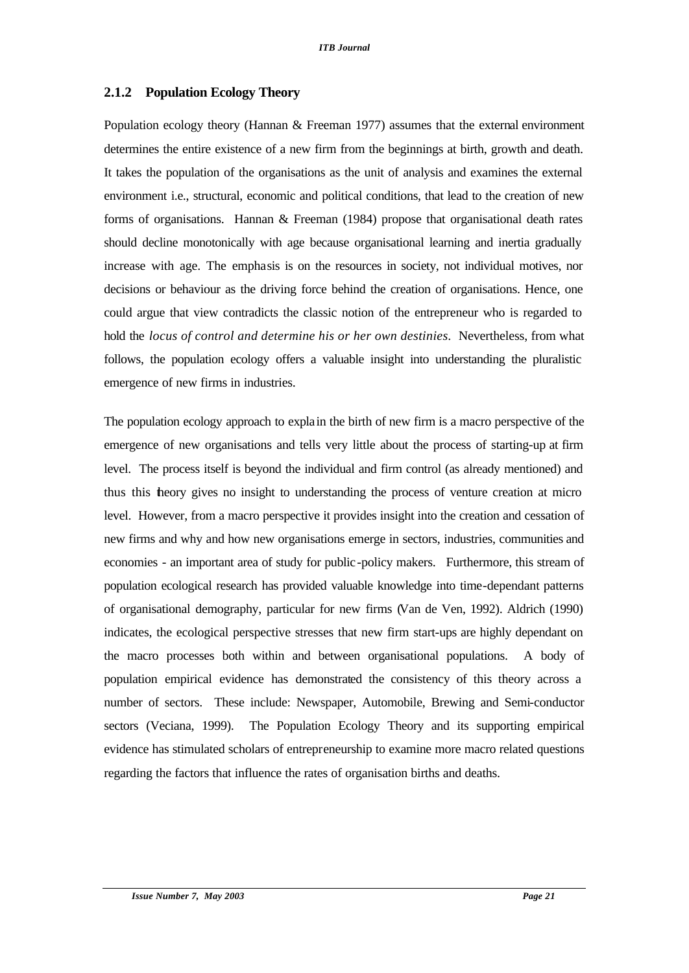# **2.1.2 Population Ecology Theory**

Population ecology theory (Hannan & Freeman 1977) assumes that the external environment determines the entire existence of a new firm from the beginnings at birth, growth and death. It takes the population of the organisations as the unit of analysis and examines the external environment i.e., structural, economic and political conditions, that lead to the creation of new forms of organisations. Hannan & Freeman (1984) propose that organisational death rates should decline monotonically with age because organisational learning and inertia gradually increase with age. The emphasis is on the resources in society, not individual motives, nor decisions or behaviour as the driving force behind the creation of organisations. Hence, one could argue that view contradicts the classic notion of the entrepreneur who is regarded to hold the *locus of control and determine his or her own destinies.* Nevertheless, from what follows, the population ecology offers a valuable insight into understanding the pluralistic emergence of new firms in industries.

The population ecology approach to explain the birth of new firm is a macro perspective of the emergence of new organisations and tells very little about the process of starting-up at firm level. The process itself is beyond the individual and firm control (as already mentioned) and thus this theory gives no insight to understanding the process of venture creation at micro level. However, from a macro perspective it provides insight into the creation and cessation of new firms and why and how new organisations emerge in sectors, industries, communities and economies - an important area of study for public-policy makers. Furthermore, this stream of population ecological research has provided valuable knowledge into time-dependant patterns of organisational demography, particular for new firms (Van de Ven, 1992). Aldrich (1990) indicates, the ecological perspective stresses that new firm start-ups are highly dependant on the macro processes both within and between organisational populations. A body of population empirical evidence has demonstrated the consistency of this theory across a number of sectors. These include: Newspaper, Automobile, Brewing and Semi-conductor sectors (Veciana, 1999). The Population Ecology Theory and its supporting empirical evidence has stimulated scholars of entrepreneurship to examine more macro related questions regarding the factors that influence the rates of organisation births and deaths.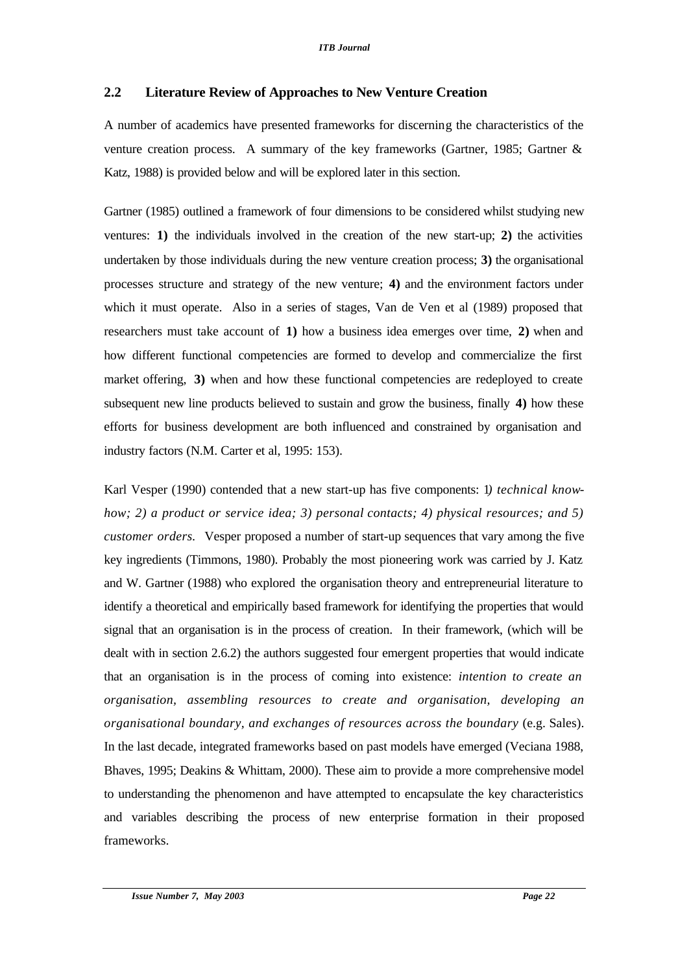# **2.2 Literature Review of Approaches to New Venture Creation**

A number of academics have presented frameworks for discerning the characteristics of the venture creation process. A summary of the key frameworks (Gartner, 1985; Gartner & Katz, 1988) is provided below and will be explored later in this section.

Gartner (1985) outlined a framework of four dimensions to be considered whilst studying new ventures: **1)** the individuals involved in the creation of the new start-up; **2)** the activities undertaken by those individuals during the new venture creation process; **3)** the organisational processes structure and strategy of the new venture; **4)** and the environment factors under which it must operate. Also in a series of stages, Van de Ven et al (1989) proposed that researchers must take account of **1)** how a business idea emerges over time, **2)** when and how different functional competencies are formed to develop and commercialize the first market offering, 3) when and how these functional competencies are redeployed to create subsequent new line products believed to sustain and grow the business, finally **4)** how these efforts for business development are both influenced and constrained by organisation and industry factors (N.M. Carter et al, 1995: 153).

Karl Vesper (1990) contended that a new start-up has five components: 1*) technical knowhow; 2) a product or service idea; 3) personal contacts; 4) physical resources; and 5) customer orders.* Vesper proposed a number of start-up sequences that vary among the five key ingredients (Timmons, 1980). Probably the most pioneering work was carried by J. Katz and W. Gartner (1988) who explored the organisation theory and entrepreneurial literature to identify a theoretical and empirically based framework for identifying the properties that would signal that an organisation is in the process of creation. In their framework, (which will be dealt with in section 2.6.2) the authors suggested four emergent properties that would indicate that an organisation is in the process of coming into existence: *intention to create an organisation, assembling resources to create and organisation, developing an organisational boundary, and exchanges of resources across the boundary* (e.g. Sales). In the last decade, integrated frameworks based on past models have emerged (Veciana 1988, Bhaves, 1995; Deakins & Whittam, 2000). These aim to provide a more comprehensive model to understanding the phenomenon and have attempted to encapsulate the key characteristics and variables describing the process of new enterprise formation in their proposed frameworks.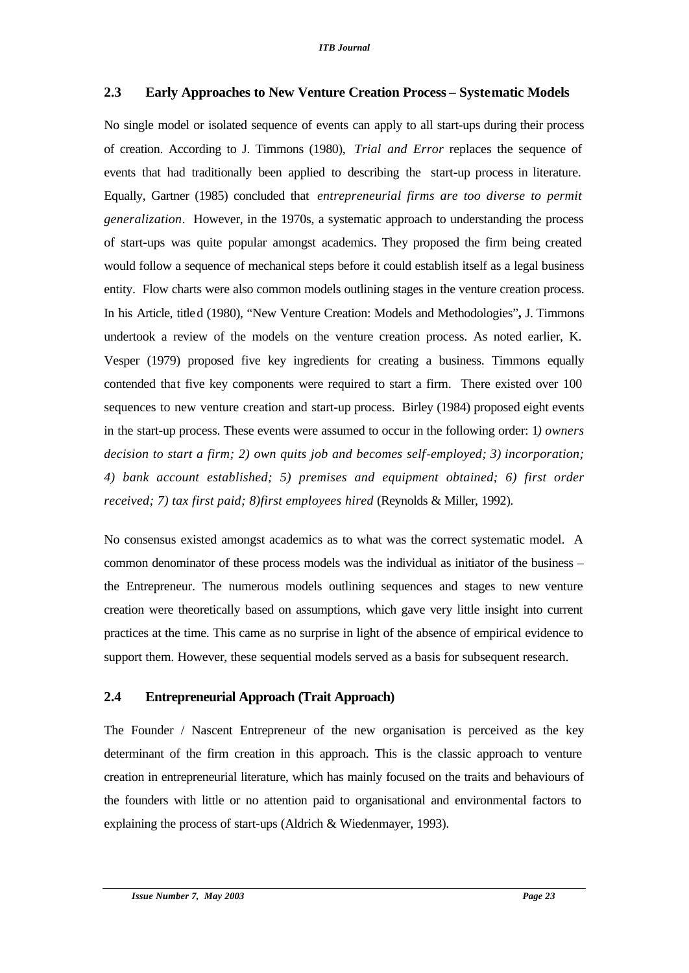# **2.3 Early Approaches to New Venture Creation Process – Systematic Models**

No single model or isolated sequence of events can apply to all start-ups during their process of creation. According to J. Timmons (1980), *Trial and Error* replaces the sequence of events that had traditionally been applied to describing the start-up process in literature. Equally, Gartner (1985) concluded that *entrepreneurial firms are too diverse to permit generalization*. However, in the 1970s, a systematic approach to understanding the process of start-ups was quite popular amongst academics. They proposed the firm being created would follow a sequence of mechanical steps before it could establish itself as a legal business entity. Flow charts were also common models outlining stages in the venture creation process. In his Article, titled (1980), "New Venture Creation: Models and Methodologies"**,** J. Timmons undertook a review of the models on the venture creation process. As noted earlier, K. Vesper (1979) proposed five key ingredients for creating a business. Timmons equally contended that five key components were required to start a firm. There existed over 100 sequences to new venture creation and start-up process. Birley (1984) proposed eight events in the start-up process. These events were assumed to occur in the following order: 1*) owners decision to start a firm; 2) own quits job and becomes self-employed; 3) incorporation; 4) bank account established; 5) premises and equipment obtained; 6) first order received; 7) tax first paid; 8)first employees hired* (Reynolds & Miller, 1992).

No consensus existed amongst academics as to what was the correct systematic model. A common denominator of these process models was the individual as initiator of the business – the Entrepreneur. The numerous models outlining sequences and stages to new venture creation were theoretically based on assumptions, which gave very little insight into current practices at the time. This came as no surprise in light of the absence of empirical evidence to support them. However, these sequential models served as a basis for subsequent research.

# **2.4 Entrepreneurial Approach (Trait Approach)**

The Founder / Nascent Entrepreneur of the new organisation is perceived as the key determinant of the firm creation in this approach. This is the classic approach to venture creation in entrepreneurial literature, which has mainly focused on the traits and behaviours of the founders with little or no attention paid to organisational and environmental factors to explaining the process of start-ups (Aldrich & Wiedenmayer, 1993).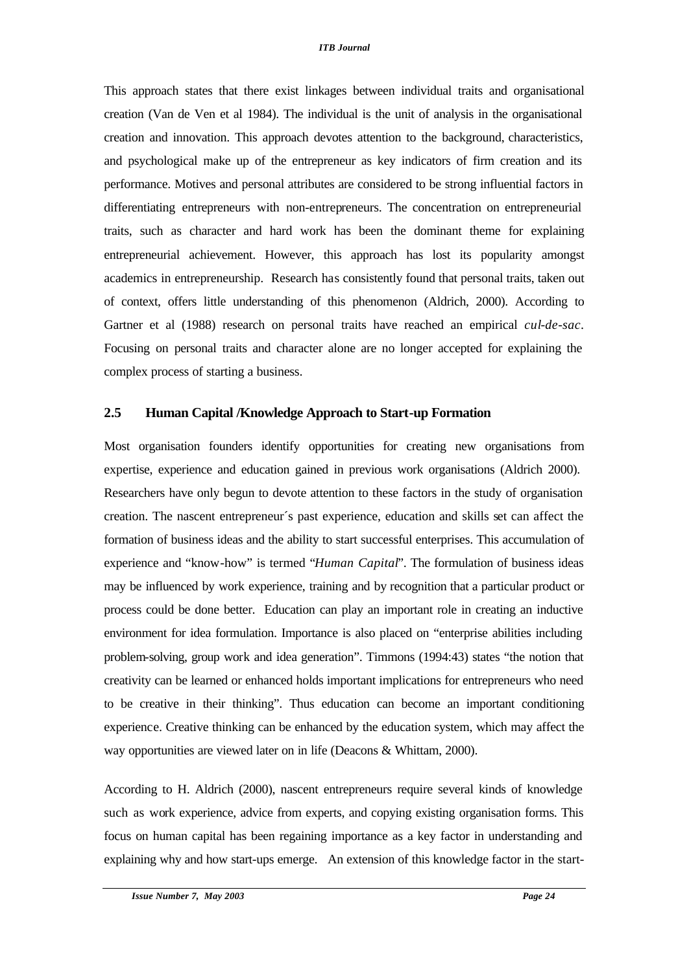This approach states that there exist linkages between individual traits and organisational creation (Van de Ven et al 1984). The individual is the unit of analysis in the organisational creation and innovation. This approach devotes attention to the background, characteristics, and psychological make up of the entrepreneur as key indicators of firm creation and its performance. Motives and personal attributes are considered to be strong influential factors in differentiating entrepreneurs with non-entrepreneurs. The concentration on entrepreneurial traits, such as character and hard work has been the dominant theme for explaining entrepreneurial achievement. However, this approach has lost its popularity amongst academics in entrepreneurship. Research has consistently found that personal traits, taken out of context, offers little understanding of this phenomenon (Aldrich, 2000). According to Gartner et al (1988) research on personal traits have reached an empirical *cul-de-sac*. Focusing on personal traits and character alone are no longer accepted for explaining the complex process of starting a business.

# **2.5 Human Capital /Knowledge Approach to Start-up Formation**

Most organisation founders identify opportunities for creating new organisations from expertise, experience and education gained in previous work organisations (Aldrich 2000). Researchers have only begun to devote attention to these factors in the study of organisation creation. The nascent entrepreneur´s past experience, education and skills set can affect the formation of business ideas and the ability to start successful enterprises. This accumulation of experience and "know-how" is termed "*Human Capital*". The formulation of business ideas may be influenced by work experience, training and by recognition that a particular product or process could be done better. Education can play an important role in creating an inductive environment for idea formulation. Importance is also placed on "enterprise abilities including problem-solving, group work and idea generation". Timmons (1994:43) states "the notion that creativity can be learned or enhanced holds important implications for entrepreneurs who need to be creative in their thinking". Thus education can become an important conditioning experience. Creative thinking can be enhanced by the education system, which may affect the way opportunities are viewed later on in life (Deacons & Whittam, 2000).

According to H. Aldrich (2000), nascent entrepreneurs require several kinds of knowledge such as work experience, advice from experts, and copying existing organisation forms. This focus on human capital has been regaining importance as a key factor in understanding and explaining why and how start-ups emerge. An extension of this knowledge factor in the start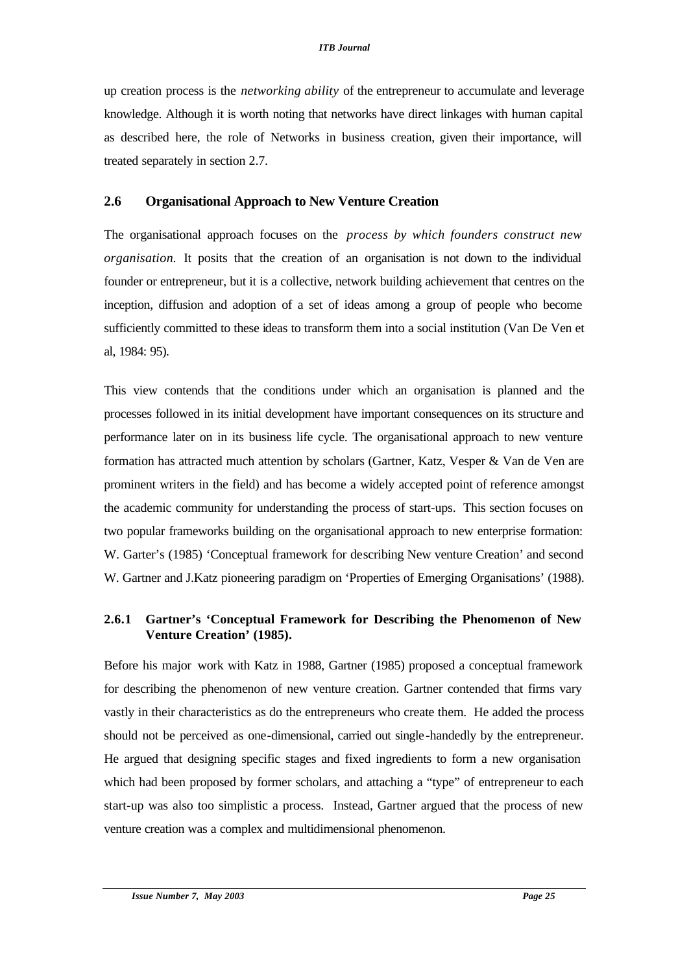up creation process is the *networking ability* of the entrepreneur to accumulate and leverage knowledge. Although it is worth noting that networks have direct linkages with human capital as described here, the role of Networks in business creation, given their importance, will treated separately in section 2.7.

### **2.6 Organisational Approach to New Venture Creation**

The organisational approach focuses on the *process by which founders construct new organisation.* It posits that the creation of an organisation is not down to the individual founder or entrepreneur, but it is a collective, network building achievement that centres on the inception, diffusion and adoption of a set of ideas among a group of people who become sufficiently committed to these ideas to transform them into a social institution (Van De Ven et al, 1984: 95).

This view contends that the conditions under which an organisation is planned and the processes followed in its initial development have important consequences on its structure and performance later on in its business life cycle. The organisational approach to new venture formation has attracted much attention by scholars (Gartner, Katz, Vesper & Van de Ven are prominent writers in the field) and has become a widely accepted point of reference amongst the academic community for understanding the process of start-ups. This section focuses on two popular frameworks building on the organisational approach to new enterprise formation: W. Garter's (1985) 'Conceptual framework for describing New venture Creation' and second W. Gartner and J.Katz pioneering paradigm on 'Properties of Emerging Organisations' (1988).

# **2.6.1 Gartner's 'Conceptual Framework for Describing the Phenomenon of New Venture Creation' (1985).**

Before his major work with Katz in 1988, Gartner (1985) proposed a conceptual framework for describing the phenomenon of new venture creation. Gartner contended that firms vary vastly in their characteristics as do the entrepreneurs who create them. He added the process should not be perceived as one-dimensional, carried out single-handedly by the entrepreneur. He argued that designing specific stages and fixed ingredients to form a new organisation which had been proposed by former scholars, and attaching a "type" of entrepreneur to each start-up was also too simplistic a process. Instead, Gartner argued that the process of new venture creation was a complex and multidimensional phenomenon.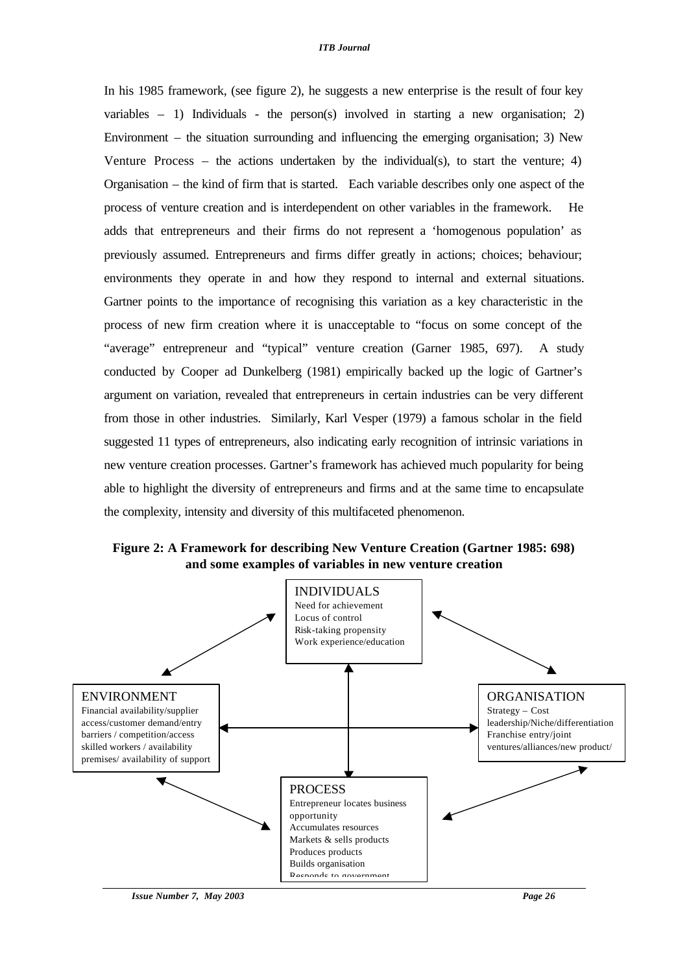In his 1985 framework, (see figure 2), he suggests a new enterprise is the result of four key variables  $-1$ ) Individuals - the person(s) involved in starting a new organisation; 2) Environment – the situation surrounding and influencing the emerging organisation; 3) New Venture Process – the actions undertaken by the individual(s), to start the venture;  $4$ ) Organisation – the kind of firm that is started. Each variable describes only one aspect of the process of venture creation and is interdependent on other variables in the framework. He adds that entrepreneurs and their firms do not represent a 'homogenous population' as previously assumed. Entrepreneurs and firms differ greatly in actions; choices; behaviour; environments they operate in and how they respond to internal and external situations. Gartner points to the importance of recognising this variation as a key characteristic in the process of new firm creation where it is unacceptable to "focus on some concept of the "average" entrepreneur and "typical" venture creation (Garner 1985, 697). A study conducted by Cooper ad Dunkelberg (1981) empirically backed up the logic of Gartner's argument on variation, revealed that entrepreneurs in certain industries can be very different from those in other industries. Similarly, Karl Vesper (1979) a famous scholar in the field suggested 11 types of entrepreneurs, also indicating early recognition of intrinsic variations in new venture creation processes. Gartner's framework has achieved much popularity for being able to highlight the diversity of entrepreneurs and firms and at the same time to encapsulate the complexity, intensity and diversity of this multifaceted phenomenon.

**Figure 2: A Framework for describing New Venture Creation (Gartner 1985: 698) and some examples of variables in new venture creation**

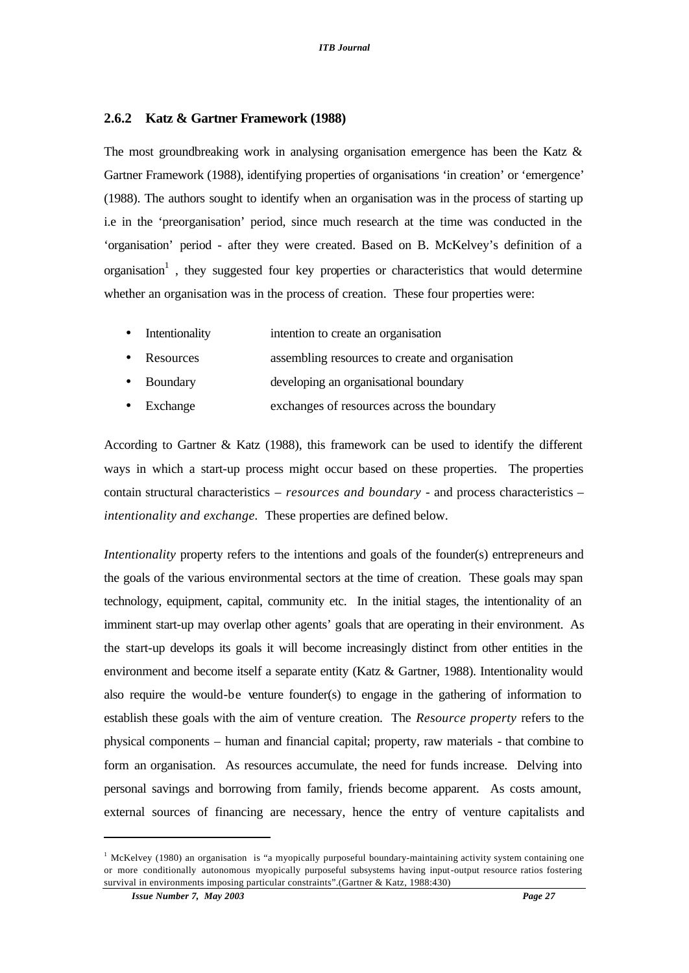#### **2.6.2 Katz & Gartner Framework (1988)**

The most groundbreaking work in analysing organisation emergence has been the Katz & Gartner Framework (1988), identifying properties of organisations 'in creation' or 'emergence' (1988). The authors sought to identify when an organisation was in the process of starting up i.e in the 'preorganisation' period, since much research at the time was conducted in the 'organisation' period - after they were created. Based on B. McKelvey's definition of a organisation<sup>1</sup>, they suggested four key properties or characteristics that would determine whether an organisation was in the process of creation. These four properties were:

- Intentionality intention to create an organisation
- Resources assembling resources to create and organisation
- Boundary developing an organisational boundary
- Exchange exchanges of resources across the boundary

According to Gartner & Katz (1988), this framework can be used to identify the different ways in which a start-up process might occur based on these properties. The properties contain structural characteristics – *resources and boundary* - and process characteristics – *intentionality and exchange.* These properties are defined below.

*Intentionality* property refers to the intentions and goals of the founder(s) entrepreneurs and the goals of the various environmental sectors at the time of creation. These goals may span technology, equipment, capital, community etc. In the initial stages, the intentionality of an imminent start-up may overlap other agents' goals that are operating in their environment. As the start-up develops its goals it will become increasingly distinct from other entities in the environment and become itself a separate entity (Katz & Gartner, 1988). Intentionality would also require the would-be venture founder(s) to engage in the gathering of information to establish these goals with the aim of venture creation. The *Resource property* refers to the physical components – human and financial capital; property, raw materials - that combine to form an organisation. As resources accumulate, the need for funds increase. Delving into personal savings and borrowing from family, friends become apparent. As costs amount, external sources of financing are necessary, hence the entry of venture capitalists and

 $\overline{a}$ 

<sup>&</sup>lt;sup>1</sup> McKelvey (1980) an organisation is "a myopically purposeful boundary-maintaining activity system containing one or more conditionally autonomous myopically purposeful subsystems having input-output resource ratios fostering survival in environments imposing particular constraints".(Gartner & Katz, 1988:430)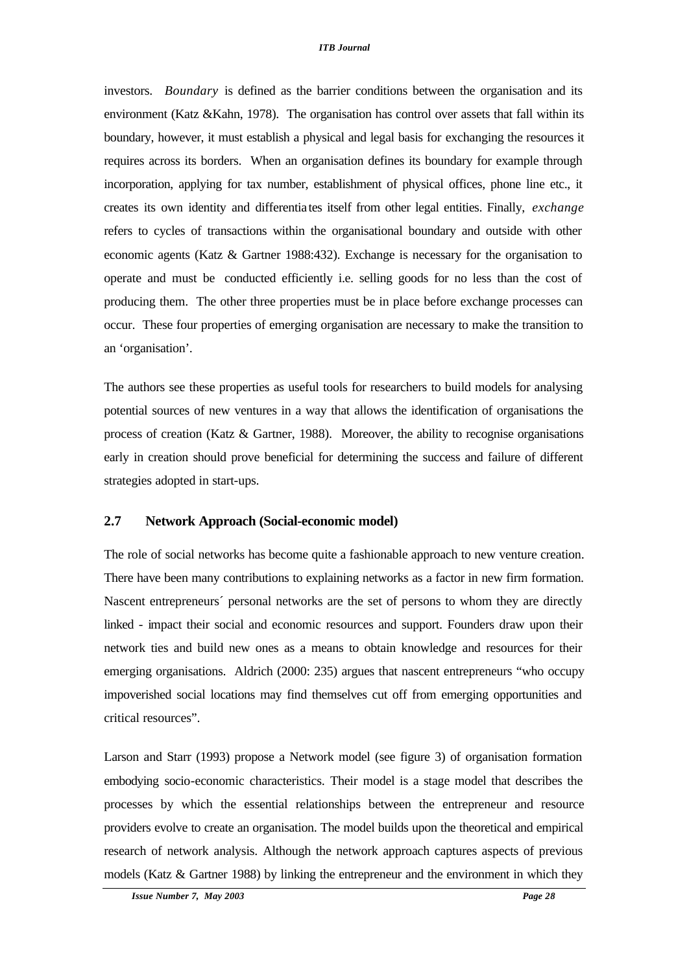investors. *Boundary* is defined as the barrier conditions between the organisation and its environment (Katz &Kahn, 1978). The organisation has control over assets that fall within its boundary, however, it must establish a physical and legal basis for exchanging the resources it requires across its borders. When an organisation defines its boundary for example through incorporation, applying for tax number, establishment of physical offices, phone line etc., it creates its own identity and differentia tes itself from other legal entities. Finally, *exchange* refers to cycles of transactions within the organisational boundary and outside with other economic agents (Katz & Gartner 1988:432). Exchange is necessary for the organisation to operate and must be conducted efficiently i.e. selling goods for no less than the cost of producing them. The other three properties must be in place before exchange processes can occur. These four properties of emerging organisation are necessary to make the transition to an 'organisation'.

The authors see these properties as useful tools for researchers to build models for analysing potential sources of new ventures in a way that allows the identification of organisations the process of creation (Katz  $\&$  Gartner, 1988). Moreover, the ability to recognise organisations early in creation should prove beneficial for determining the success and failure of different strategies adopted in start-ups.

### **2.7 Network Approach (Social-economic model)**

The role of social networks has become quite a fashionable approach to new venture creation. There have been many contributions to explaining networks as a factor in new firm formation. Nascent entrepreneurs´ personal networks are the set of persons to whom they are directly linked - impact their social and economic resources and support. Founders draw upon their network ties and build new ones as a means to obtain knowledge and resources for their emerging organisations. Aldrich (2000: 235) argues that nascent entrepreneurs "who occupy impoverished social locations may find themselves cut off from emerging opportunities and critical resources".

Larson and Starr (1993) propose a Network model (see figure 3) of organisation formation embodying socio-economic characteristics. Their model is a stage model that describes the processes by which the essential relationships between the entrepreneur and resource providers evolve to create an organisation. The model builds upon the theoretical and empirical research of network analysis. Although the network approach captures aspects of previous models (Katz & Gartner 1988) by linking the entrepreneur and the environment in which they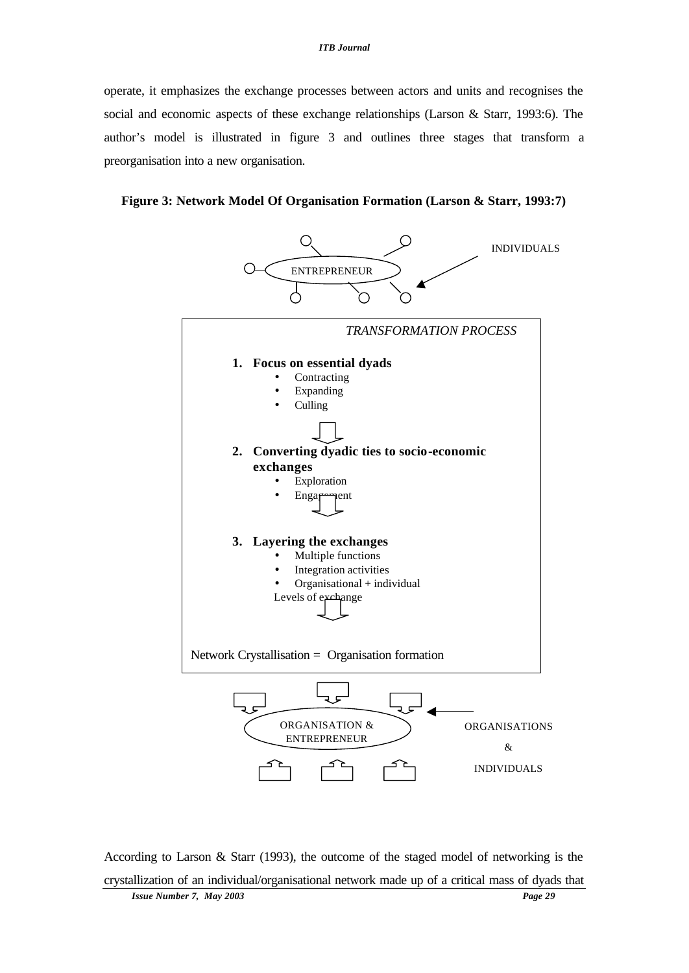operate, it emphasizes the exchange processes between actors and units and recognises the social and economic aspects of these exchange relationships (Larson & Starr, 1993:6). The author's model is illustrated in figure 3 and outlines three stages that transform a preorganisation into a new organisation.





According to Larson & Starr (1993), the outcome of the staged model of networking is the crystallization of an individual/organisational network made up of a critical mass of dyads that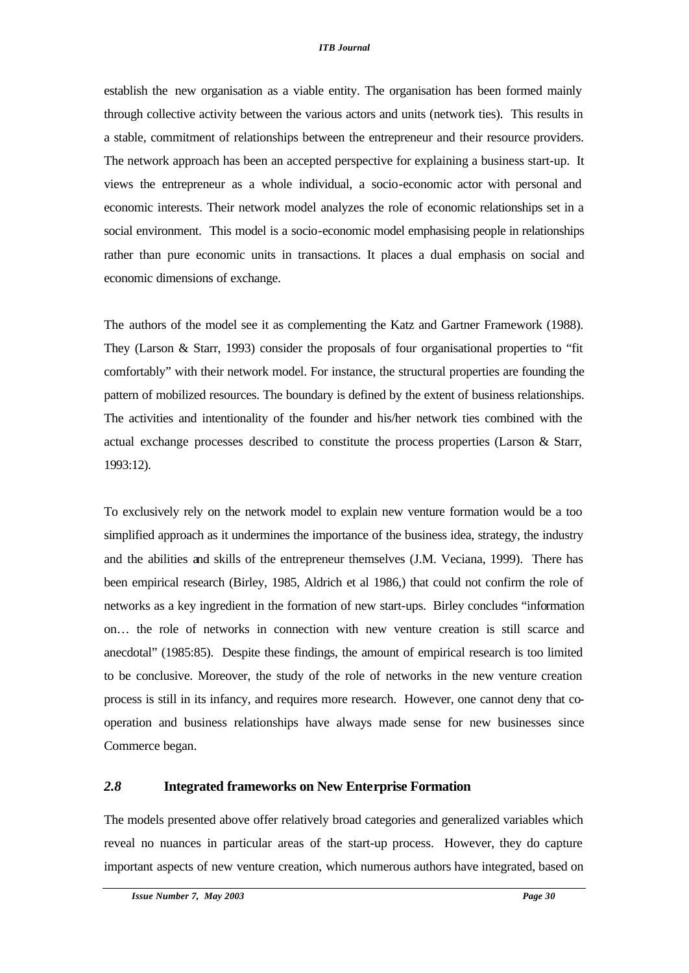establish the new organisation as a viable entity. The organisation has been formed mainly through collective activity between the various actors and units (network ties). This results in a stable, commitment of relationships between the entrepreneur and their resource providers. The network approach has been an accepted perspective for explaining a business start-up. It views the entrepreneur as a whole individual, a socio-economic actor with personal and economic interests. Their network model analyzes the role of economic relationships set in a social environment. This model is a socio-economic model emphasising people in relationships rather than pure economic units in transactions. It places a dual emphasis on social and economic dimensions of exchange.

The authors of the model see it as complementing the Katz and Gartner Framework (1988). They (Larson & Starr, 1993) consider the proposals of four organisational properties to "fit comfortably" with their network model. For instance, the structural properties are founding the pattern of mobilized resources. The boundary is defined by the extent of business relationships. The activities and intentionality of the founder and his/her network ties combined with the actual exchange processes described to constitute the process properties (Larson & Starr, 1993:12).

To exclusively rely on the network model to explain new venture formation would be a too simplified approach as it undermines the importance of the business idea, strategy, the industry and the abilities and skills of the entrepreneur themselves (J.M. Veciana, 1999). There has been empirical research (Birley, 1985, Aldrich et al 1986,) that could not confirm the role of networks as a key ingredient in the formation of new start-ups. Birley concludes "information on… the role of networks in connection with new venture creation is still scarce and anecdotal" (1985:85). Despite these findings, the amount of empirical research is too limited to be conclusive. Moreover, the study of the role of networks in the new venture creation process is still in its infancy, and requires more research. However, one cannot deny that cooperation and business relationships have always made sense for new businesses since Commerce began.

### *2.8* **Integrated frameworks on New Enterprise Formation**

The models presented above offer relatively broad categories and generalized variables which reveal no nuances in particular areas of the start-up process. However, they do capture important aspects of new venture creation, which numerous authors have integrated, based on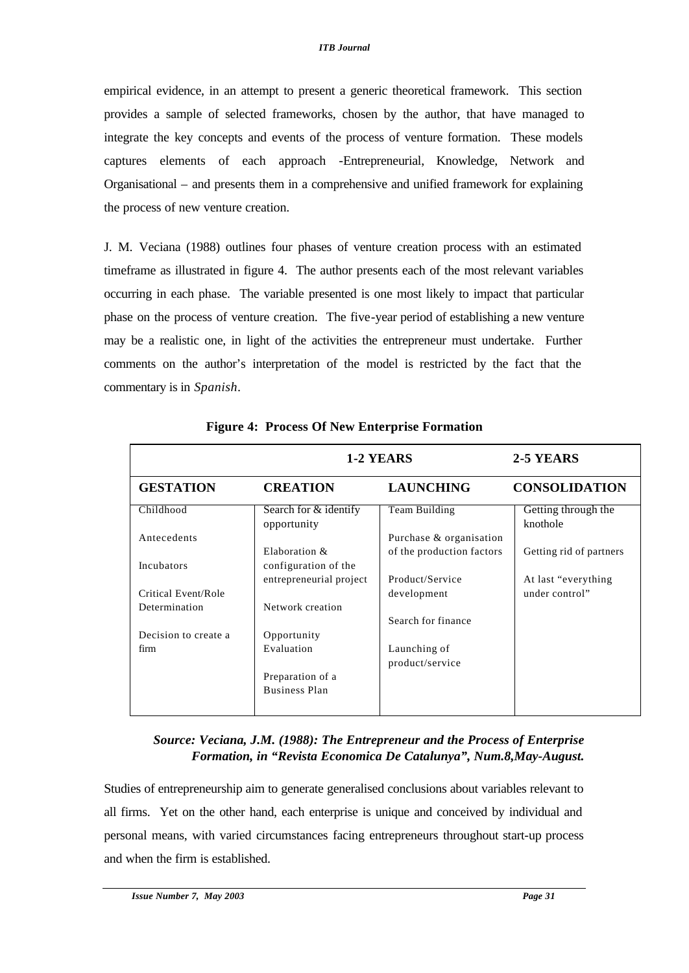empirical evidence, in an attempt to present a generic theoretical framework. This section provides a sample of selected frameworks, chosen by the author, that have managed to integrate the key concepts and events of the process of venture formation. These models captures elements of each approach -Entrepreneurial, Knowledge, Network and Organisational – and presents them in a comprehensive and unified framework for explaining the process of new venture creation.

J. M. Veciana (1988) outlines four phases of venture creation process with an estimated timeframe as illustrated in figure 4. The author presents each of the most relevant variables occurring in each phase. The variable presented is one most likely to impact that particular phase on the process of venture creation. The five-year period of establishing a new venture may be a realistic one, in light of the activities the entrepreneur must undertake. Further comments on the author's interpretation of the model is restricted by the fact that the commentary is in *Spanish*.

|                      | 1-2 YEARS                            |                                 | 2-5 YEARS                       |
|----------------------|--------------------------------------|---------------------------------|---------------------------------|
| <b>GESTATION</b>     | <b>CREATION</b>                      | <b>LAUNCHING</b>                | <b>CONSOLIDATION</b>            |
| Childhood            | Search for & identify<br>opportunity | Team Building                   | Getting through the<br>knothole |
| Antecedents          |                                      | Purchase & organisation         |                                 |
|                      | Elaboration &                        | of the production factors       | Getting rid of partners         |
| Incubators           | configuration of the                 |                                 |                                 |
|                      | entrepreneurial project              | Product/Service                 | At last "everything"            |
| Critical Event/Role  |                                      | development                     | under control"                  |
| Determination        | Network creation                     |                                 |                                 |
|                      |                                      | Search for finance              |                                 |
| Decision to create a | Opportunity                          |                                 |                                 |
| firm                 | Evaluation                           | Launching of<br>product/service |                                 |
|                      | Preparation of a                     |                                 |                                 |
|                      | <b>Business Plan</b>                 |                                 |                                 |

**Figure 4: Process Of New Enterprise Formation**

*Source: Veciana, J.M. (1988): The Entrepreneur and the Process of Enterprise Formation, in "Revista Economica De Catalunya", Num.8,May-August.*

Studies of entrepreneurship aim to generate generalised conclusions about variables relevant to all firms. Yet on the other hand, each enterprise is unique and conceived by individual and personal means, with varied circumstances facing entrepreneurs throughout start-up process and when the firm is established.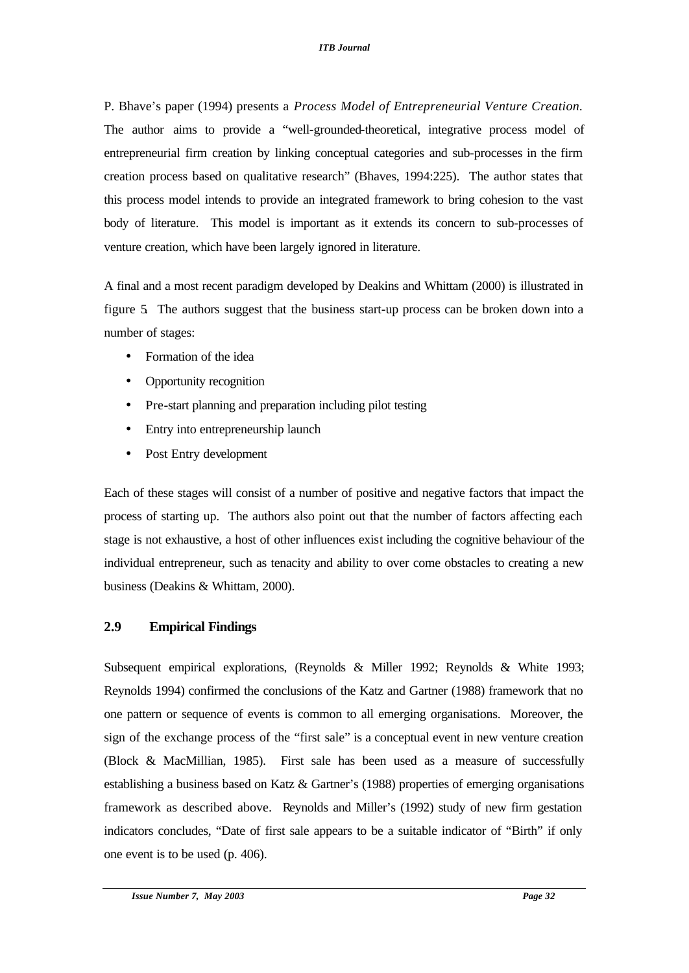P. Bhave's paper (1994) presents a *Process Model of Entrepreneurial Venture Creation.*  The author aims to provide a "well-grounded-theoretical, integrative process model of entrepreneurial firm creation by linking conceptual categories and sub-processes in the firm creation process based on qualitative research" (Bhaves, 1994:225). The author states that this process model intends to provide an integrated framework to bring cohesion to the vast body of literature. This model is important as it extends its concern to sub-processes of venture creation, which have been largely ignored in literature.

A final and a most recent paradigm developed by Deakins and Whittam (2000) is illustrated in figure 5. The authors suggest that the business start-up process can be broken down into a number of stages:

- Formation of the idea
- Opportunity recognition
- Pre-start planning and preparation including pilot testing
- Entry into entrepreneurship launch
- Post Entry development

Each of these stages will consist of a number of positive and negative factors that impact the process of starting up. The authors also point out that the number of factors affecting each stage is not exhaustive, a host of other influences exist including the cognitive behaviour of the individual entrepreneur, such as tenacity and ability to over come obstacles to creating a new business (Deakins & Whittam, 2000).

# **2.9 Empirical Findings**

Subsequent empirical explorations, (Reynolds & Miller 1992; Reynolds & White 1993; Reynolds 1994) confirmed the conclusions of the Katz and Gartner (1988) framework that no one pattern or sequence of events is common to all emerging organisations. Moreover, the sign of the exchange process of the "first sale" is a conceptual event in new venture creation (Block & MacMillian, 1985). First sale has been used as a measure of successfully establishing a business based on Katz & Gartner's (1988) properties of emerging organisations framework as described above. Reynolds and Miller's (1992) study of new firm gestation indicators concludes, "Date of first sale appears to be a suitable indicator of "Birth" if only one event is to be used (p. 406).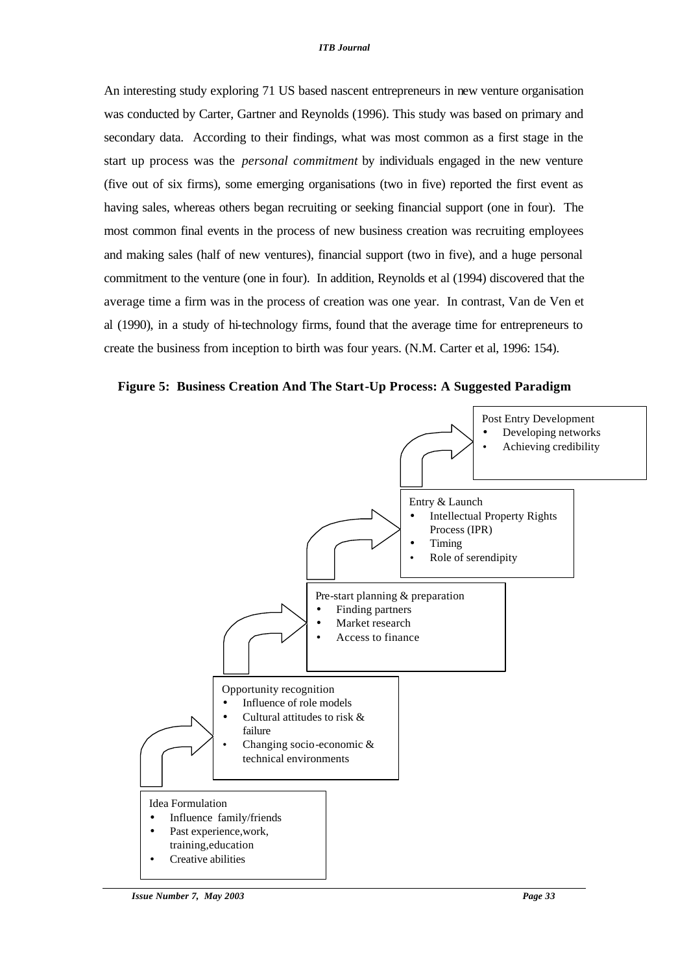An interesting study exploring 71 US based nascent entrepreneurs in new venture organisation was conducted by Carter, Gartner and Reynolds (1996). This study was based on primary and secondary data. According to their findings, what was most common as a first stage in the start up process was the *personal commitment* by individuals engaged in the new venture (five out of six firms), some emerging organisations (two in five) reported the first event as having sales, whereas others began recruiting or seeking financial support (one in four). The most common final events in the process of new business creation was recruiting employees and making sales (half of new ventures), financial support (two in five), and a huge personal commitment to the venture (one in four). In addition, Reynolds et al (1994) discovered that the average time a firm was in the process of creation was one year. In contrast, Van de Ven et al (1990), in a study of hi-technology firms, found that the average time for entrepreneurs to create the business from inception to birth was four years. (N.M. Carter et al, 1996: 154).



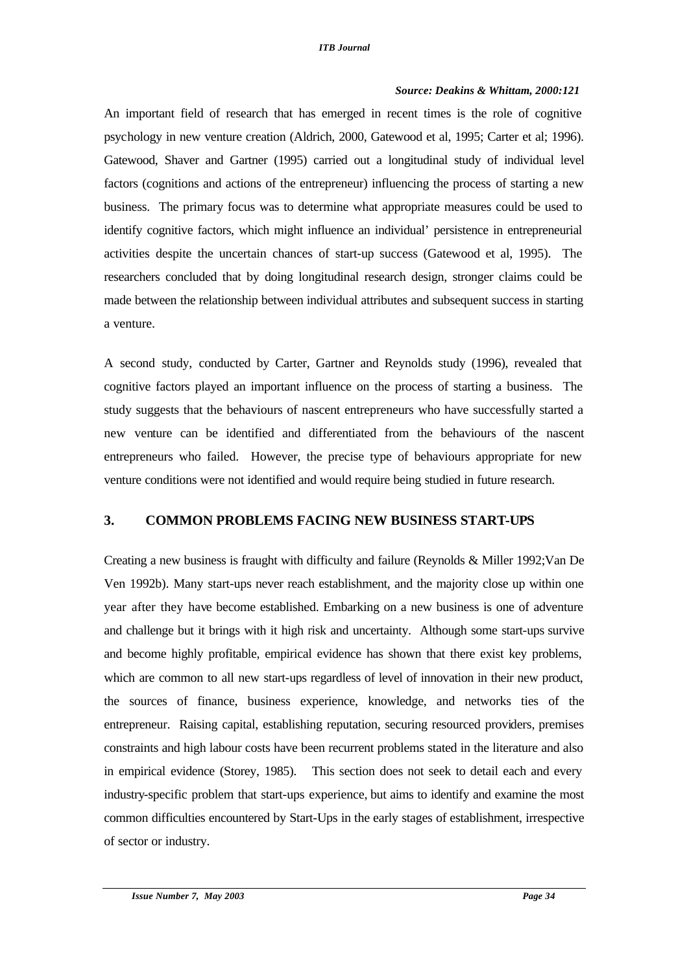## *Source: Deakins & Whittam, 2000:121*

An important field of research that has emerged in recent times is the role of cognitive psychology in new venture creation (Aldrich, 2000, Gatewood et al, 1995; Carter et al; 1996). Gatewood, Shaver and Gartner (1995) carried out a longitudinal study of individual level factors (cognitions and actions of the entrepreneur) influencing the process of starting a new business. The primary focus was to determine what appropriate measures could be used to identify cognitive factors, which might influence an individual' persistence in entrepreneurial activities despite the uncertain chances of start-up success (Gatewood et al, 1995). The researchers concluded that by doing longitudinal research design, stronger claims could be made between the relationship between individual attributes and subsequent success in starting a venture.

A second study, conducted by Carter, Gartner and Reynolds study (1996), revealed that cognitive factors played an important influence on the process of starting a business. The study suggests that the behaviours of nascent entrepreneurs who have successfully started a new venture can be identified and differentiated from the behaviours of the nascent entrepreneurs who failed. However, the precise type of behaviours appropriate for new venture conditions were not identified and would require being studied in future research.

# **3. COMMON PROBLEMS FACING NEW BUSINESS START-UPS**

Creating a new business is fraught with difficulty and failure (Reynolds & Miller 1992;Van De Ven 1992b). Many start-ups never reach establishment, and the majority close up within one year after they have become established. Embarking on a new business is one of adventure and challenge but it brings with it high risk and uncertainty. Although some start-ups survive and become highly profitable, empirical evidence has shown that there exist key problems, which are common to all new start-ups regardless of level of innovation in their new product, the sources of finance, business experience, knowledge, and networks ties of the entrepreneur. Raising capital, establishing reputation, securing resourced providers, premises constraints and high labour costs have been recurrent problems stated in the literature and also in empirical evidence (Storey, 1985).This section does not seek to detail each and every industry-specific problem that start-ups experience, but aims to identify and examine the most common difficulties encountered by Start-Ups in the early stages of establishment, irrespective of sector or industry.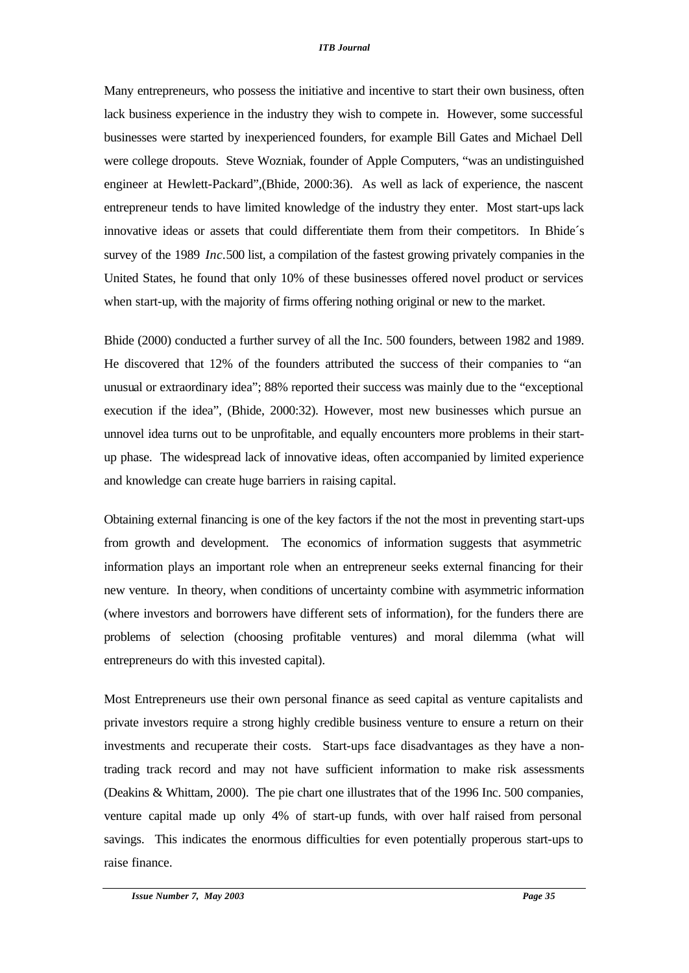Many entrepreneurs, who possess the initiative and incentive to start their own business, often lack business experience in the industry they wish to compete in. However, some successful businesses were started by inexperienced founders, for example Bill Gates and Michael Dell were college dropouts. Steve Wozniak, founder of Apple Computers, "was an undistinguished engineer at Hewlett-Packard",(Bhide, 2000:36). As well as lack of experience, the nascent entrepreneur tends to have limited knowledge of the industry they enter. Most start-ups lack innovative ideas or assets that could differentiate them from their competitors. In Bhide´s survey of the 1989 *Inc.*500 list, a compilation of the fastest growing privately companies in the United States, he found that only 10% of these businesses offered novel product or services when start-up, with the majority of firms offering nothing original or new to the market.

Bhide (2000) conducted a further survey of all the Inc. 500 founders, between 1982 and 1989. He discovered that 12% of the founders attributed the success of their companies to "an unusual or extraordinary idea"; 88% reported their success was mainly due to the "exceptional execution if the idea", (Bhide, 2000:32). However, most new businesses which pursue an unnovel idea turns out to be unprofitable, and equally encounters more problems in their startup phase. The widespread lack of innovative ideas, often accompanied by limited experience and knowledge can create huge barriers in raising capital.

Obtaining external financing is one of the key factors if the not the most in preventing start-ups from growth and development. The economics of information suggests that asymmetric information plays an important role when an entrepreneur seeks external financing for their new venture. In theory, when conditions of uncertainty combine with asymmetric information (where investors and borrowers have different sets of information), for the funders there are problems of selection (choosing profitable ventures) and moral dilemma (what will entrepreneurs do with this invested capital).

Most Entrepreneurs use their own personal finance as seed capital as venture capitalists and private investors require a strong highly credible business venture to ensure a return on their investments and recuperate their costs. Start-ups face disadvantages as they have a nontrading track record and may not have sufficient information to make risk assessments (Deakins & Whittam, 2000). The pie chart one illustrates that of the 1996 Inc. 500 companies, venture capital made up only 4% of start-up funds, with over half raised from personal savings. This indicates the enormous difficulties for even potentially properous start-ups to raise finance.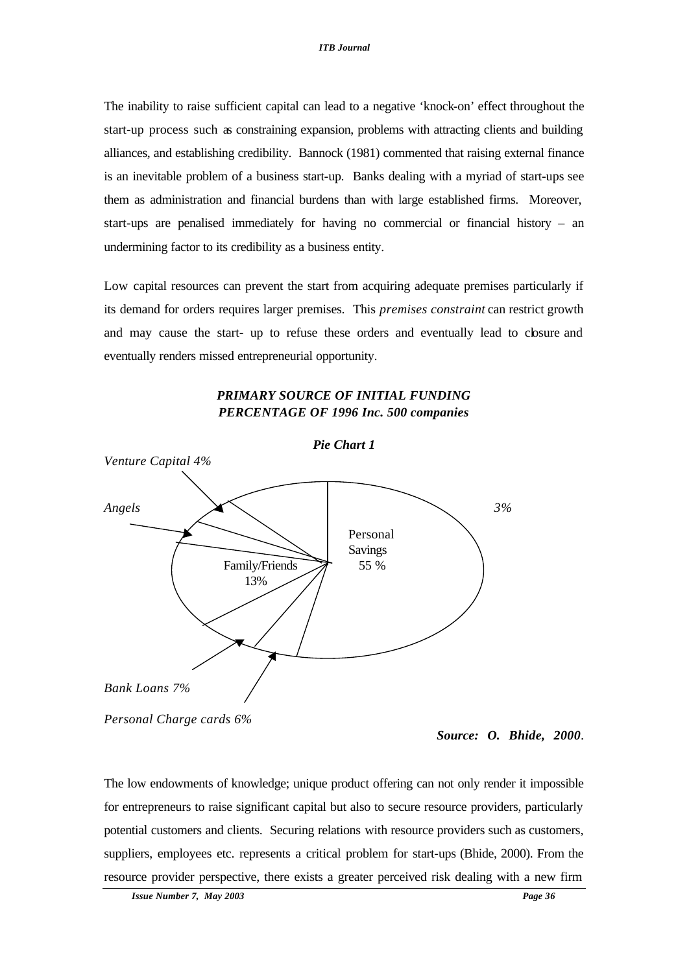The inability to raise sufficient capital can lead to a negative 'knock-on' effect throughout the start-up process such as constraining expansion, problems with attracting clients and building alliances, and establishing credibility. Bannock (1981) commented that raising external finance is an inevitable problem of a business start-up. Banks dealing with a myriad of start-ups see them as administration and financial burdens than with large established firms. Moreover, start-ups are penalised immediately for having no commercial or financial history – an undermining factor to its credibility as a business entity.

Low capital resources can prevent the start from acquiring adequate premises particularly if its demand for orders requires larger premises. This *premises constraint* can restrict growth and may cause the start- up to refuse these orders and eventually lead to closure and eventually renders missed entrepreneurial opportunity.



## *PRIMARY SOURCE OF INITIAL FUNDING PERCENTAGE OF 1996 Inc. 500 companies*

*Personal Charge cards 6%*

The low endowments of knowledge; unique product offering can not only render it impossible for entrepreneurs to raise significant capital but also to secure resource providers, particularly potential customers and clients. Securing relations with resource providers such as customers, suppliers, employees etc. represents a critical problem for start-ups (Bhide, 2000). From the resource provider perspective, there exists a greater perceived risk dealing with a new firm

*Source: O. Bhide, 2000*.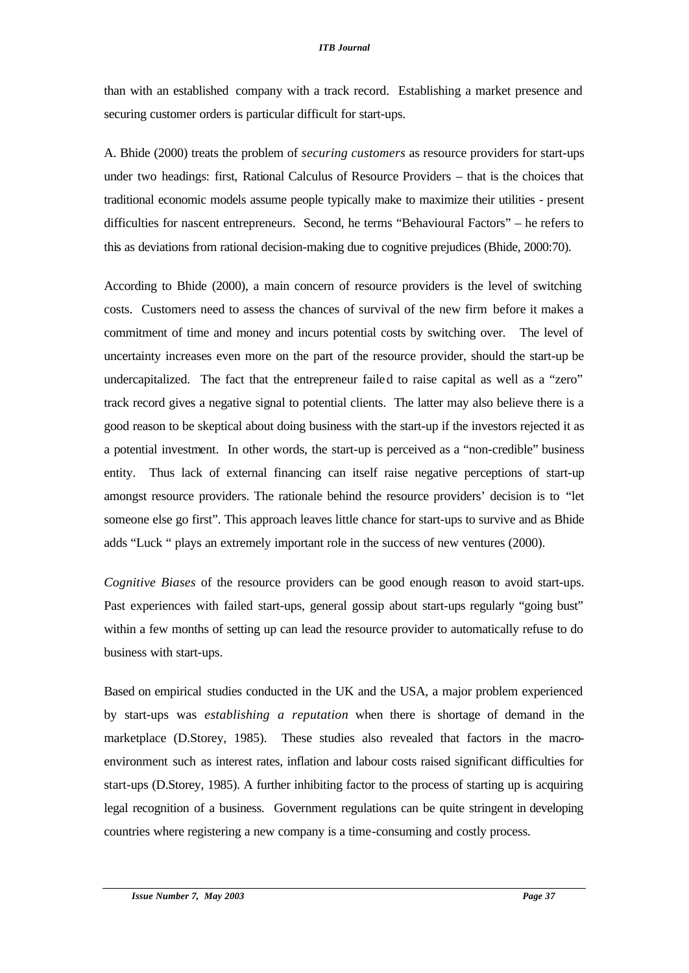than with an established company with a track record. Establishing a market presence and securing customer orders is particular difficult for start-ups.

A. Bhide (2000) treats the problem of *securing customers* as resource providers for start-ups under two headings: first, Rational Calculus of Resource Providers – that is the choices that traditional economic models assume people typically make to maximize their utilities - present difficulties for nascent entrepreneurs. Second, he terms "Behavioural Factors" – he refers to this as deviations from rational decision-making due to cognitive prejudices (Bhide, 2000:70).

According to Bhide (2000), a main concern of resource providers is the level of switching costs. Customers need to assess the chances of survival of the new firm before it makes a commitment of time and money and incurs potential costs by switching over. The level of uncertainty increases even more on the part of the resource provider, should the start-up be undercapitalized. The fact that the entrepreneur failed to raise capital as well as a "zero" track record gives a negative signal to potential clients. The latter may also believe there is a good reason to be skeptical about doing business with the start-up if the investors rejected it as a potential investment. In other words, the start-up is perceived as a "non-credible" business entity. Thus lack of external financing can itself raise negative perceptions of start-up amongst resource providers. The rationale behind the resource providers' decision is to "let someone else go first". This approach leaves little chance for start-ups to survive and as Bhide adds "Luck " plays an extremely important role in the success of new ventures (2000).

*Cognitive Biases* of the resource providers can be good enough reason to avoid start-ups. Past experiences with failed start-ups, general gossip about start-ups regularly "going bust" within a few months of setting up can lead the resource provider to automatically refuse to do business with start-ups.

Based on empirical studies conducted in the UK and the USA, a major problem experienced by start-ups was *establishing a reputation* when there is shortage of demand in the marketplace (D.Storey, 1985). These studies also revealed that factors in the macroenvironment such as interest rates, inflation and labour costs raised significant difficulties for start-ups (D.Storey, 1985). A further inhibiting factor to the process of starting up is acquiring legal recognition of a business. Government regulations can be quite stringent in developing countries where registering a new company is a time-consuming and costly process.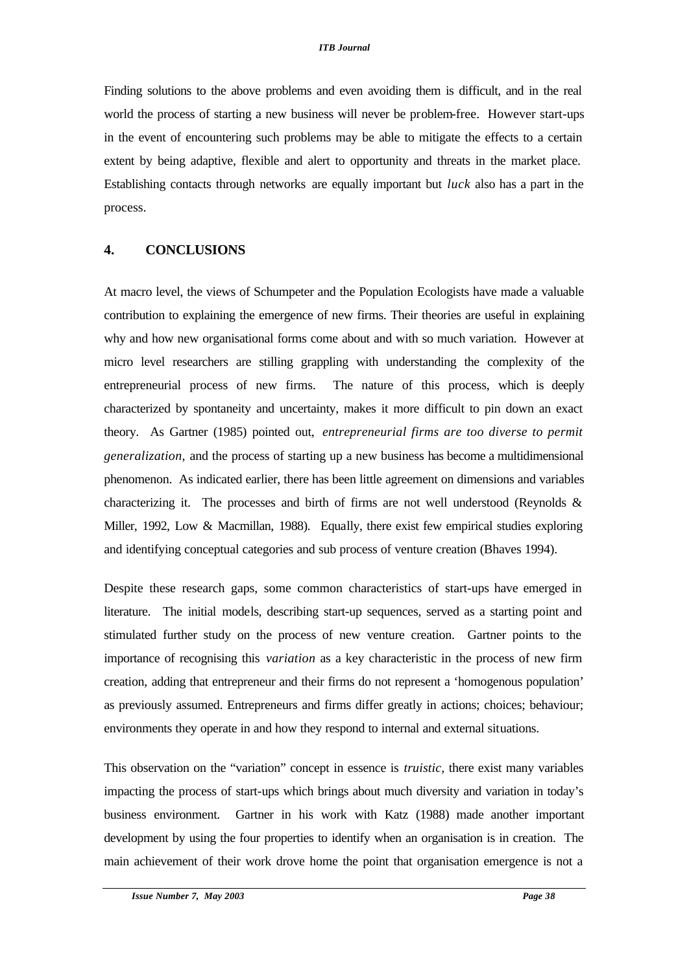Finding solutions to the above problems and even avoiding them is difficult, and in the real world the process of starting a new business will never be problem-free. However start-ups in the event of encountering such problems may be able to mitigate the effects to a certain extent by being adaptive, flexible and alert to opportunity and threats in the market place. Establishing contacts through networks are equally important but *luck* also has a part in the process.

#### **4. CONCLUSIONS**

At macro level, the views of Schumpeter and the Population Ecologists have made a valuable contribution to explaining the emergence of new firms. Their theories are useful in explaining why and how new organisational forms come about and with so much variation. However at micro level researchers are stilling grappling with understanding the complexity of the entrepreneurial process of new firms. The nature of this process, which is deeply characterized by spontaneity and uncertainty, makes it more difficult to pin down an exact theory. As Gartner (1985) pointed out, *entrepreneurial firms are too diverse to permit generalization,* and the process of starting up a new business has become a multidimensional phenomenon. As indicated earlier, there has been little agreement on dimensions and variables characterizing it. The processes and birth of firms are not well understood (Reynolds  $\&$ Miller, 1992, Low & Macmillan, 1988). Equally, there exist few empirical studies exploring and identifying conceptual categories and sub process of venture creation (Bhaves 1994).

Despite these research gaps, some common characteristics of start-ups have emerged in literature. The initial models, describing start-up sequences, served as a starting point and stimulated further study on the process of new venture creation. Gartner points to the importance of recognising this *variation* as a key characteristic in the process of new firm creation, adding that entrepreneur and their firms do not represent a 'homogenous population' as previously assumed. Entrepreneurs and firms differ greatly in actions; choices; behaviour; environments they operate in and how they respond to internal and external situations.

This observation on the "variation" concept in essence is *truistic,* there exist many variables impacting the process of start-ups which brings about much diversity and variation in today's business environment. Gartner in his work with Katz (1988) made another important development by using the four properties to identify when an organisation is in creation. The main achievement of their work drove home the point that organisation emergence is not a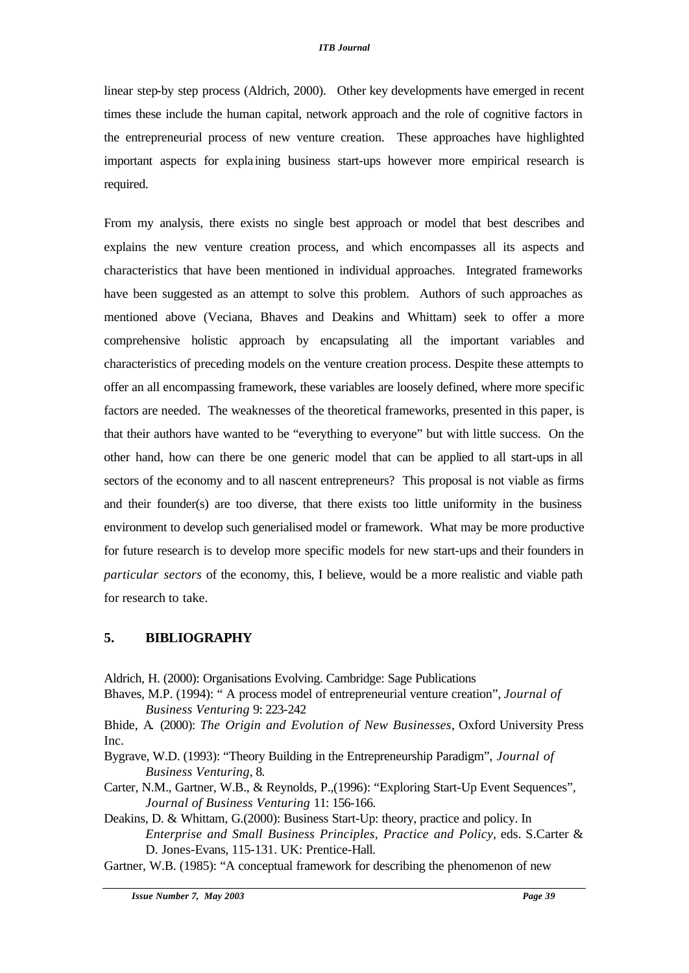linear step-by step process (Aldrich, 2000). Other key developments have emerged in recent times these include the human capital, network approach and the role of cognitive factors in the entrepreneurial process of new venture creation. These approaches have highlighted important aspects for expla ining business start-ups however more empirical research is required.

From my analysis, there exists no single best approach or model that best describes and explains the new venture creation process, and which encompasses all its aspects and characteristics that have been mentioned in individual approaches. Integrated frameworks have been suggested as an attempt to solve this problem. Authors of such approaches as mentioned above (Veciana, Bhaves and Deakins and Whittam) seek to offer a more comprehensive holistic approach by encapsulating all the important variables and characteristics of preceding models on the venture creation process. Despite these attempts to offer an all encompassing framework, these variables are loosely defined, where more specific factors are needed. The weaknesses of the theoretical frameworks, presented in this paper, is that their authors have wanted to be "everything to everyone" but with little success. On the other hand, how can there be one generic model that can be applied to all start-ups in all sectors of the economy and to all nascent entrepreneurs? This proposal is not viable as firms and their founder(s) are too diverse, that there exists too little uniformity in the business environment to develop such generialised model or framework. What may be more productive for future research is to develop more specific models for new start-ups and their founders in *particular sectors* of the economy, this, I believe, would be a more realistic and viable path for research to take.

### **5. BIBLIOGRAPHY**

Aldrich, H. (2000): Organisations Evolving. Cambridge: Sage Publications

Bhaves, M.P. (1994): " A process model of entrepreneurial venture creation", *Journal of Business Venturing* 9: 223-242

Bhide, A. (2000): *The Origin and Evolution of New Businesses*, Oxford University Press Inc.

Bygrave, W.D. (1993): "Theory Building in the Entrepreneurship Paradigm", *Journal of Business Venturing*, 8.

Carter, N.M., Gartner, W.B., & Reynolds, P.,(1996): "Exploring Start-Up Event Sequences", *Journal of Business Venturing* 11: 156-166.

Deakins, D. & Whittam, G.(2000): Business Start-Up: theory, practice and policy. In *Enterprise and Small Business Principles, Practice and Policy*, eds. S.Carter & D. Jones-Evans, 115-131. UK: Prentice-Hall.

Gartner, W.B. (1985): "A conceptual framework for describing the phenomenon of new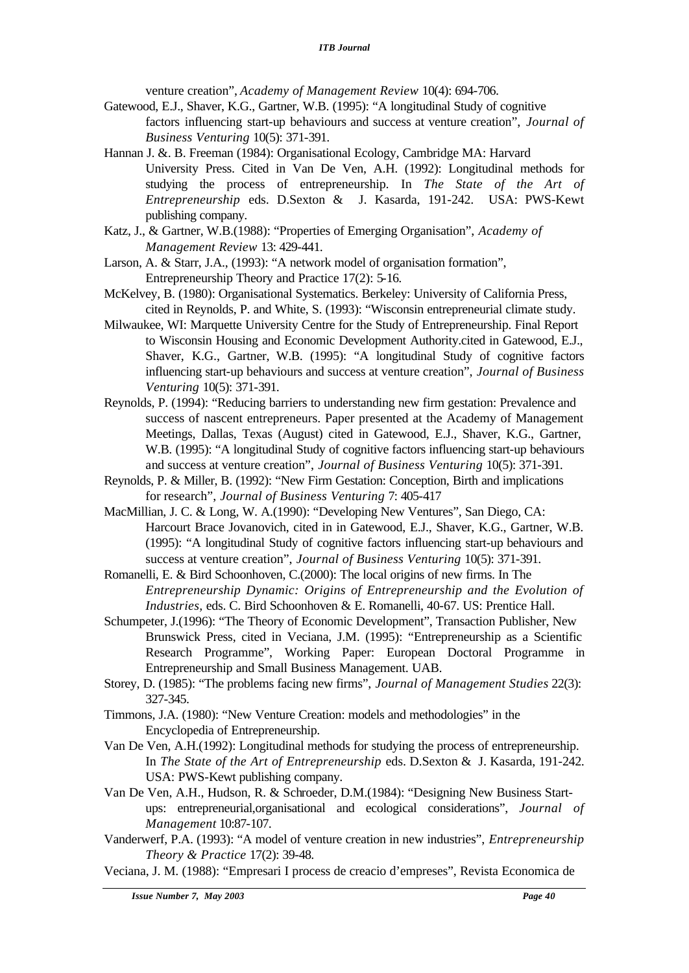venture creation", *Academy of Management Review* 10(4): 694-706.

- Gatewood, E.J., Shaver, K.G., Gartner, W.B. (1995): "A longitudinal Study of cognitive factors influencing start-up behaviours and success at venture creation", *Journal of Business Venturing* 10(5): 371-391.
- Hannan J. &. B. Freeman (1984): Organisational Ecology, Cambridge MA: Harvard University Press. Cited in Van De Ven, A.H. (1992): Longitudinal methods for studying the process of entrepreneurship. In *The State of the Art of Entrepreneurship* eds. D.Sexton & J. Kasarda, 191-242. USA: PWS-Kewt publishing company.
- Katz, J., & Gartner, W.B.(1988): "Properties of Emerging Organisation", *Academy of Management Review* 13: 429-441.
- Larson, A. & Starr, J.A., (1993): "A network model of organisation formation", Entrepreneurship Theory and Practice 17(2): 5-16.
- McKelvey, B. (1980): Organisational Systematics. Berkeley: University of California Press, cited in Reynolds, P. and White, S. (1993): "Wisconsin entrepreneurial climate study.
- Milwaukee, WI: Marquette University Centre for the Study of Entrepreneurship. Final Report to Wisconsin Housing and Economic Development Authority.cited in Gatewood, E.J., Shaver, K.G., Gartner, W.B. (1995): "A longitudinal Study of cognitive factors influencing start-up behaviours and success at venture creation", *Journal of Business Venturing* 10(5): 371-391.
- Reynolds, P. (1994): "Reducing barriers to understanding new firm gestation: Prevalence and success of nascent entrepreneurs. Paper presented at the Academy of Management Meetings, Dallas, Texas (August) cited in Gatewood, E.J., Shaver, K.G., Gartner, W.B. (1995): "A longitudinal Study of cognitive factors influencing start-up behaviours and success at venture creation", *Journal of Business Venturing* 10(5): 371-391.
- Reynolds, P. & Miller, B. (1992): "New Firm Gestation: Conception, Birth and implications for research", *Journal of Business Venturing* 7: 405-417
- MacMillian, J. C. & Long, W. A.(1990): "Developing New Ventures", San Diego, CA: Harcourt Brace Jovanovich, cited in in Gatewood, E.J., Shaver, K.G., Gartner, W.B. (1995): "A longitudinal Study of cognitive factors influencing start-up behaviours and success at venture creation", *Journal of Business Venturing* 10(5): 371-391.
- Romanelli, E. & Bird Schoonhoven, C.(2000): The local origins of new firms. In The *Entrepreneurship Dynamic: Origins of Entrepreneurship and the Evolution of Industries,* eds. C. Bird Schoonhoven & E. Romanelli, 40-67. US: Prentice Hall.
- Schumpeter, J.(1996): "The Theory of Economic Development", Transaction Publisher, New Brunswick Press, cited in Veciana, J.M. (1995): "Entrepreneurship as a Scientific Research Programme", Working Paper: European Doctoral Programme in Entrepreneurship and Small Business Management. UAB.
- Storey, D. (1985): "The problems facing new firms", *Journal of Management Studies* 22(3): 327-345.
- Timmons, J.A. (1980): "New Venture Creation: models and methodologies" in the Encyclopedia of Entrepreneurship.
- Van De Ven, A.H.(1992): Longitudinal methods for studying the process of entrepreneurship. In *The State of the Art of Entrepreneurship* eds. D.Sexton & J. Kasarda, 191-242. USA: PWS-Kewt publishing company.
- Van De Ven, A.H., Hudson, R. & Schroeder, D.M.(1984): "Designing New Business Startups: entrepreneurial,organisational and ecological considerations", *Journal of Management* 10:87-107.
- Vanderwerf, P.A. (1993): "A model of venture creation in new industries", *Entrepreneurship Theory & Practice* 17(2): 39-48.
- Veciana, J. M. (1988): "Empresari I process de creacio d'empreses", Revista Economica de